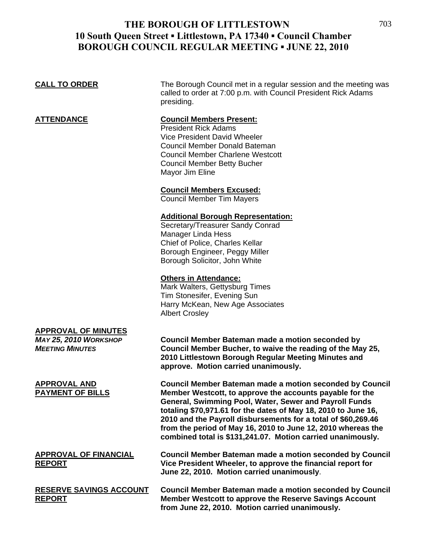| <b>CALL TO ORDER</b>                                                          | The Borough Council met in a regular session and the meeting was<br>called to order at 7:00 p.m. with Council President Rick Adams<br>presiding.                                                                                                                                                                                                                                                                                                        |
|-------------------------------------------------------------------------------|---------------------------------------------------------------------------------------------------------------------------------------------------------------------------------------------------------------------------------------------------------------------------------------------------------------------------------------------------------------------------------------------------------------------------------------------------------|
| <b>ATTENDANCE</b>                                                             | <b>Council Members Present:</b><br><b>President Rick Adams</b><br>Vice President David Wheeler<br>Council Member Donald Bateman<br><b>Council Member Charlene Westcott</b><br><b>Council Member Betty Bucher</b><br>Mayor Jim Eline                                                                                                                                                                                                                     |
|                                                                               | <b>Council Members Excused:</b><br><b>Council Member Tim Mayers</b>                                                                                                                                                                                                                                                                                                                                                                                     |
|                                                                               | <b>Additional Borough Representation:</b><br>Secretary/Treasurer Sandy Conrad<br><b>Manager Linda Hess</b><br>Chief of Police, Charles Kellar<br>Borough Engineer, Peggy Miller<br>Borough Solicitor, John White                                                                                                                                                                                                                                        |
|                                                                               | <b>Others in Attendance:</b><br>Mark Walters, Gettysburg Times<br>Tim Stonesifer, Evening Sun<br>Harry McKean, New Age Associates<br><b>Albert Crosley</b>                                                                                                                                                                                                                                                                                              |
| <b>APPROVAL OF MINUTES</b><br>MAY 25, 2010 WORKSHOP<br><b>MEETING MINUTES</b> | Council Member Bateman made a motion seconded by<br>Council Member Bucher, to waive the reading of the May 25,<br>2010 Littlestown Borough Regular Meeting Minutes and<br>approve. Motion carried unanimously.                                                                                                                                                                                                                                          |
| <b>APPROVAL AND</b><br><b>PAYMENT OF BILLS</b>                                | <b>Council Member Bateman made a motion seconded by Council</b><br>Member Westcott, to approve the accounts payable for the<br>General, Swimming Pool, Water, Sewer and Payroll Funds<br>totaling \$70,971.61 for the dates of May 18, 2010 to June 16,<br>2010 and the Payroll disbursements for a total of \$60,269.46<br>from the period of May 16, 2010 to June 12, 2010 whereas the<br>combined total is \$131,241.07. Motion carried unanimously. |
| <b>APPROVAL OF FINANCIAL</b><br><b>REPORT</b>                                 | <b>Council Member Bateman made a motion seconded by Council</b><br>Vice President Wheeler, to approve the financial report for<br>June 22, 2010. Motion carried unanimously.                                                                                                                                                                                                                                                                            |
| <b>RESERVE SAVINGS ACCOUNT</b><br><b>REPORT</b>                               | <b>Council Member Bateman made a motion seconded by Council</b><br>Member Westcott to approve the Reserve Savings Account                                                                                                                                                                                                                                                                                                                               |

**from June 22, 2010. Motion carried unanimously.**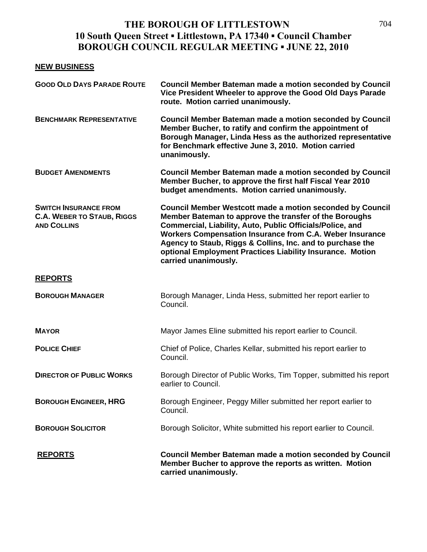#### **NEW BUSINESS**

| <b>GOOD OLD DAYS PARADE ROUTE</b>                                                       | <b>Council Member Bateman made a motion seconded by Council</b><br>Vice President Wheeler to approve the Good Old Days Parade<br>route. Motion carried unanimously.                                                                                                                                                                                                                                    |
|-----------------------------------------------------------------------------------------|--------------------------------------------------------------------------------------------------------------------------------------------------------------------------------------------------------------------------------------------------------------------------------------------------------------------------------------------------------------------------------------------------------|
| <b>BENCHMARK REPRESENTATIVE</b>                                                         | Council Member Bateman made a motion seconded by Council<br>Member Bucher, to ratify and confirm the appointment of<br>Borough Manager, Linda Hess as the authorized representative<br>for Benchmark effective June 3, 2010. Motion carried<br>unanimously.                                                                                                                                            |
| <b>BUDGET AMENDMENTS</b>                                                                | <b>Council Member Bateman made a motion seconded by Council</b><br>Member Bucher, to approve the first half Fiscal Year 2010<br>budget amendments. Motion carried unanimously.                                                                                                                                                                                                                         |
| <b>SWITCH INSURANCE FROM</b><br><b>C.A. WEBER TO STAUB, RIGGS</b><br><b>AND COLLINS</b> | <b>Council Member Westcott made a motion seconded by Council</b><br>Member Bateman to approve the transfer of the Boroughs<br>Commercial, Liability, Auto, Public Officials/Police, and<br>Workers Compensation Insurance from C.A. Weber Insurance<br>Agency to Staub, Riggs & Collins, Inc. and to purchase the<br>optional Employment Practices Liability Insurance. Motion<br>carried unanimously. |
| <b>REPORTS</b>                                                                          |                                                                                                                                                                                                                                                                                                                                                                                                        |
| <b>BOROUGH MANAGER</b>                                                                  | Borough Manager, Linda Hess, submitted her report earlier to<br>Council.                                                                                                                                                                                                                                                                                                                               |
| <b>MAYOR</b>                                                                            | Mayor James Eline submitted his report earlier to Council.                                                                                                                                                                                                                                                                                                                                             |
| <b>POLICE CHIEF</b>                                                                     | Chief of Police, Charles Kellar, submitted his report earlier to<br>Council.                                                                                                                                                                                                                                                                                                                           |
| <b>DIRECTOR OF PUBLIC WORKS</b>                                                         | Borough Director of Public Works, Tim Topper, submitted his report<br>earlier to Council.                                                                                                                                                                                                                                                                                                              |
| <b>BOROUGH ENGINEER, HRG</b>                                                            | Borough Engineer, Peggy Miller submitted her report earlier to<br>Council.                                                                                                                                                                                                                                                                                                                             |
| <b>BOROUGH SOLICITOR</b>                                                                | Borough Solicitor, White submitted his report earlier to Council.                                                                                                                                                                                                                                                                                                                                      |
| <b>REPORTS</b>                                                                          | <b>Council Member Bateman made a motion seconded by Council</b><br>Member Bucher to approve the reports as written. Motion<br>carried unanimously.                                                                                                                                                                                                                                                     |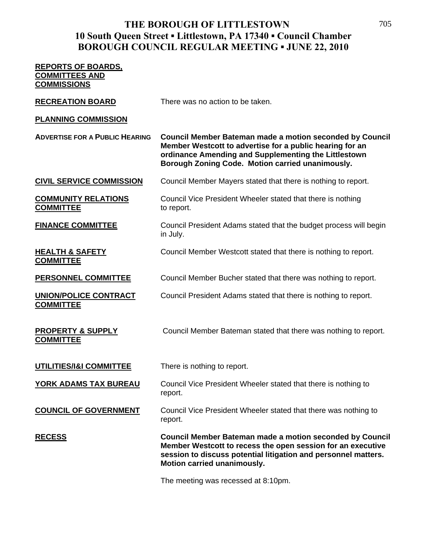# **REPORTS OF BOARDS, COMMITTEES AND COMMISSIONS RECREATION BOARD** There was no action to be taken. **PLANNING COMMISSION ADVERTISE FOR A PUBLIC HEARING Council Member Bateman made a motion seconded by Council Member Westcott to advertise for a public hearing for an ordinance Amending and Supplementing the Littlestown Borough Zoning Code. Motion carried unanimously. CIVIL SERVICE COMMISSION** Council Member Mayers stated that there is nothing to report. **COMMUNITY RELATIONS** Council Vice President Wheeler stated that there is nothing **COMMITTEE** to report. **FINANCE COMMITTEE** Council President Adams stated that the budget process will begin in July. **HEALTH & SAFETY** Council Member Westcott stated that there is nothing to report. **COMMITTEE PERSONNEL COMMITTEE** Council Member Bucher stated that there was nothing to report. **UNION/POLICE CONTRACT** Council President Adams stated that there is nothing to report. **COMMITTEE PROPERTY & SUPPLY** Council Member Bateman stated that there was nothing to report. **COMMITTEE UTILITIES/I&I COMMITTEE** There is nothing to report. **YORK ADAMS TAX BUREAU** Council Vice President Wheeler stated that there is nothing to report. **COUNCIL OF GOVERNMENT** Council Vice President Wheeler stated that there was nothing to report. **RECESS Council Member Bateman made a motion seconded by Council Member Westcott to recess the open session for an executive session to discuss potential litigation and personnel matters. Motion carried unanimously.**

The meeting was recessed at 8:10pm.